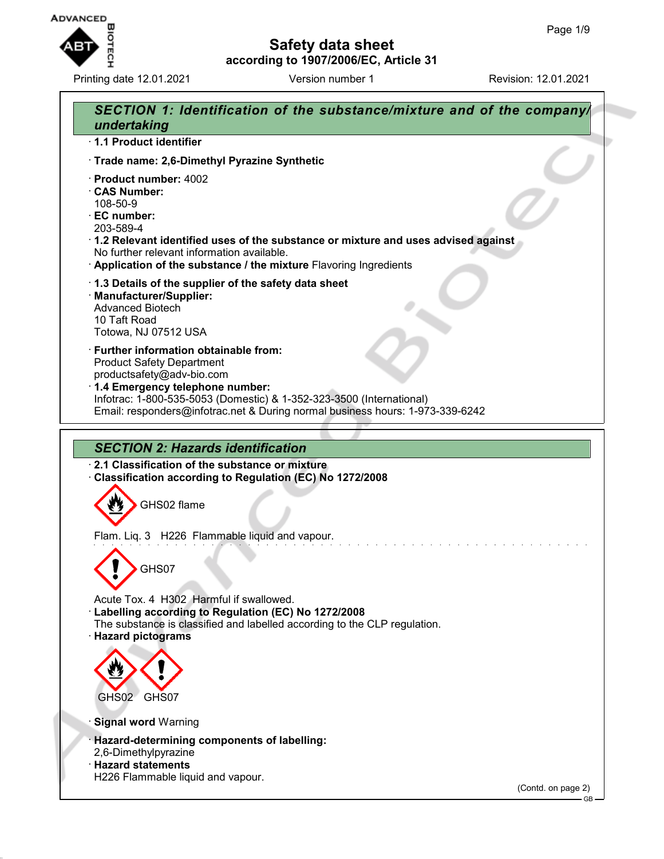

Printing date 12.01.2021 **Version number 1** Revision: 12.01.2021

# **Safety data sheet according to 1907/2006/EC, Article 31**

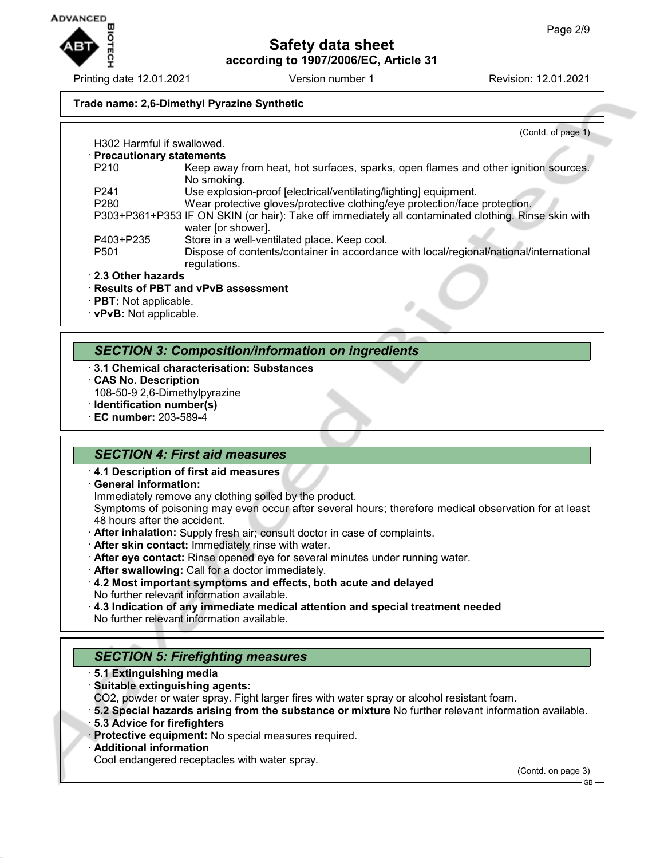

Printing date 12.01.2021 **Version number 1** Revision: 12.01.2021

#### **Trade name: 2,6-Dimethyl Pyrazine Synthetic**

|                                        | (Contd. of page 1)                                                                                                         |
|----------------------------------------|----------------------------------------------------------------------------------------------------------------------------|
| H <sub>302</sub> Harmful if swallowed. |                                                                                                                            |
| · Precautionary statements             |                                                                                                                            |
| P <sub>210</sub>                       | Keep away from heat, hot surfaces, sparks, open flames and other ignition sources.<br>No smoking.                          |
| P <sub>241</sub>                       | Use explosion-proof [electrical/ventilating/lighting] equipment.                                                           |
| P <sub>280</sub>                       | Wear protective gloves/protective clothing/eye protection/face protection.                                                 |
|                                        | P303+P361+P353 IF ON SKIN (or hair): Take off immediately all contaminated clothing. Rinse skin with<br>water [or shower]. |
| P403+P235                              | Store in a well-ventilated place. Keep cool.                                                                               |
| P <sub>501</sub>                       | Dispose of contents/container in accordance with local/regional/national/international<br>regulations.                     |
| 2.3 Other hazards                      |                                                                                                                            |
|                                        | · Results of PBT and vPvB assessment                                                                                       |
| · <b>PBT:</b> Not applicable.          |                                                                                                                            |

· **vPvB:** Not applicable.

## *SECTION 3: Composition/information on ingredients*

- · **3.1 Chemical characterisation: Substances**
- · **CAS No. Description**
- 108-50-9 2,6-Dimethylpyrazine
- · **Identification number(s)**
- · **EC number:** 203-589-4

## *SECTION 4: First aid measures*

- · **4.1 Description of first aid measures**
- · **General information:**
- Immediately remove any clothing soiled by the product.

Symptoms of poisoning may even occur after several hours; therefore medical observation for at least 48 hours after the accident.

- · **After inhalation:** Supply fresh air; consult doctor in case of complaints.
- · **After skin contact:** Immediately rinse with water.
- · **After eye contact:** Rinse opened eye for several minutes under running water.
- · **After swallowing:** Call for a doctor immediately.
- · **4.2 Most important symptoms and effects, both acute and delayed** No further relevant information available.
- · **4.3 Indication of any immediate medical attention and special treatment needed** No further relevant information available.

# *SECTION 5: Firefighting measures*

- · **5.1 Extinguishing media**
- · **Suitable extinguishing agents:**
- CO2, powder or water spray. Fight larger fires with water spray or alcohol resistant foam.
- · **5.2 Special hazards arising from the substance or mixture** No further relevant information available.
- · **5.3 Advice for firefighters**
- · **Protective equipment:** No special measures required.
- · **Additional information**
- Cool endangered receptacles with water spray.

(Contd. on page 3)

GB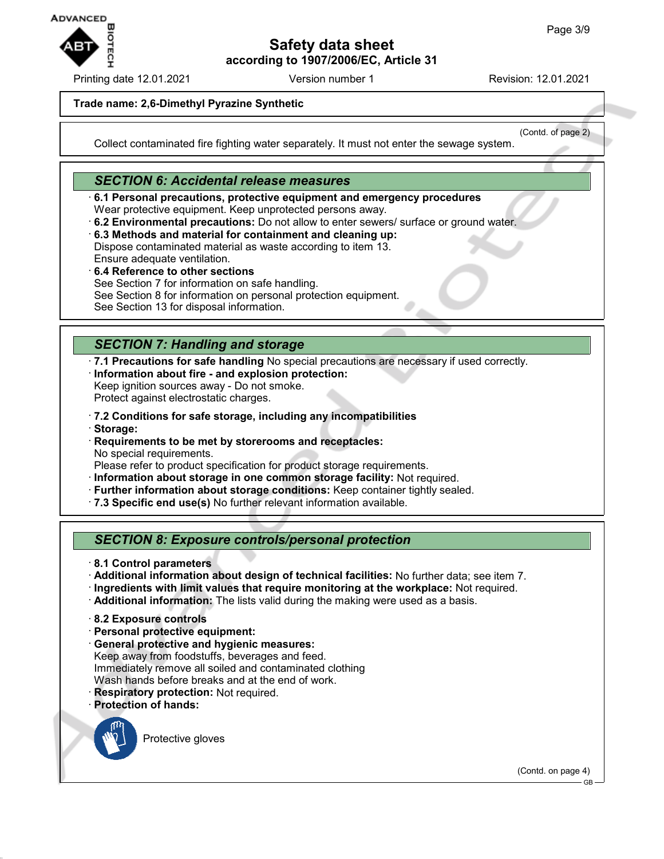

Printing date 12.01.2021 Version number 1 Revision: 12.01.2021

(Contd. of page 2)

#### **Trade name: 2,6-Dimethyl Pyrazine Synthetic**

Collect contaminated fire fighting water separately. It must not enter the sewage system.

## *SECTION 6: Accidental release measures*

· **6.1 Personal precautions, protective equipment and emergency procedures** Wear protective equipment. Keep unprotected persons away.

- · **6.2 Environmental precautions:** Do not allow to enter sewers/ surface or ground water.
- · **6.3 Methods and material for containment and cleaning up:** Dispose contaminated material as waste according to item 13. Ensure adequate ventilation.
- · **6.4 Reference to other sections** See Section 7 for information on safe handling. See Section 8 for information on personal protection equipment. See Section 13 for disposal information.

## *SECTION 7: Handling and storage*

- · **7.1 Precautions for safe handling** No special precautions are necessary if used correctly.
- · **Information about fire and explosion protection:** Keep ignition sources away - Do not smoke.

Protect against electrostatic charges.

- · **7.2 Conditions for safe storage, including any incompatibilities** · **Storage:**
- · **Requirements to be met by storerooms and receptacles:** No special requirements.

Please refer to product specification for product storage requirements.

- · **Information about storage in one common storage facility:** Not required.
- · **Further information about storage conditions:** Keep container tightly sealed.
- · **7.3 Specific end use(s)** No further relevant information available.

*SECTION 8: Exposure controls/personal protection*

- · **8.1 Control parameters**
- · **Additional information about design of technical facilities:** No further data; see item 7.
- · **Ingredients with limit values that require monitoring at the workplace:** Not required.
- · **Additional information:** The lists valid during the making were used as a basis.
- · **8.2 Exposure controls**
- · **Personal protective equipment:**
- · **General protective and hygienic measures:** Keep away from foodstuffs, beverages and feed. Immediately remove all soiled and contaminated clothing Wash hands before breaks and at the end of work. · **Respiratory protection:** Not required.
- 
- · **Protection of hands:**

Protective gloves

(Contd. on page 4)

GB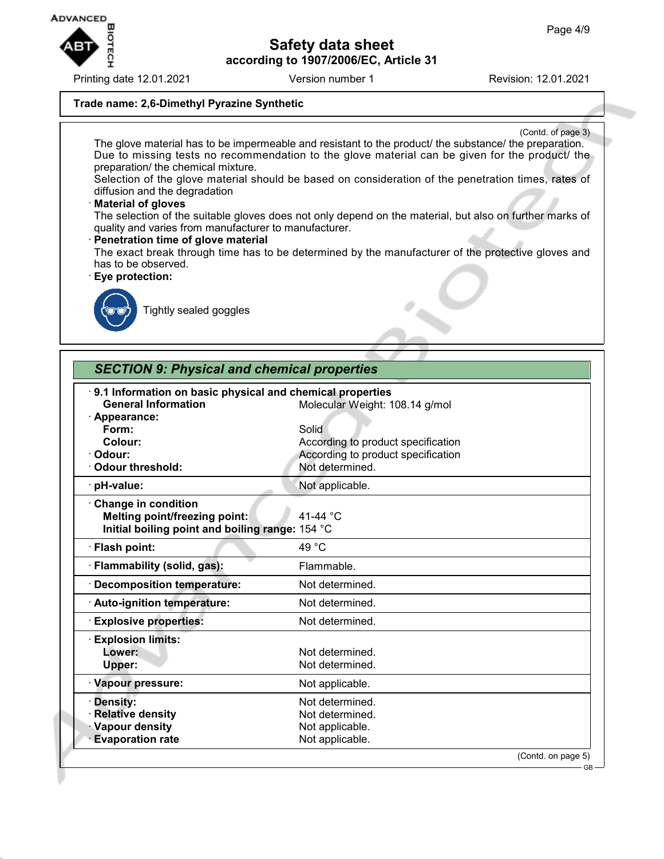

Printing date 12.01.2021 **Version number 1** Revision: 12.01.2021

### **Trade name: 2,6-Dimethyl Pyrazine Synthetic**

(Contd. of page 3) The glove material has to be impermeable and resistant to the product/ the substance/ the preparation. Due to missing tests no recommendation to the glove material can be given for the product/ the preparation/ the chemical mixture. Selection of the glove material should be based on consideration of the penetration times, rates of diffusion and the degradation · **Material of gloves** The selection of the suitable gloves does not only depend on the material, but also on further marks of quality and varies from manufacturer to manufacturer. · **Penetration time of glove material** The exact break through time has to be determined by the manufacturer of the protective gloves and has to be observed. · **Eye protection:** Tightly sealed goggles

| <b>SECTION 9: Physical and chemical properties</b>        |                                    |                                    |  |  |
|-----------------------------------------------------------|------------------------------------|------------------------------------|--|--|
| 9.1 Information on basic physical and chemical properties |                                    |                                    |  |  |
| <b>General Information</b>                                | Molecular Weight: 108.14 g/mol     |                                    |  |  |
| · Appearance:                                             |                                    |                                    |  |  |
| Form:                                                     | Solid                              |                                    |  |  |
| Colour:                                                   | According to product specification |                                    |  |  |
| · Odour:                                                  |                                    | According to product specification |  |  |
| Odour threshold:                                          | Not determined.                    |                                    |  |  |
| · pH-value:                                               | Not applicable.                    |                                    |  |  |
| Change in condition                                       |                                    |                                    |  |  |
| <b>Melting point/freezing point:</b>                      | 41-44 °C                           |                                    |  |  |
| Initial boiling point and boiling range: 154 °C           |                                    |                                    |  |  |
| · Flash point:                                            | 49 °C                              |                                    |  |  |
| · Flammability (solid, gas):                              | Flammable.                         |                                    |  |  |
| · Decomposition temperature:                              | Not determined.                    |                                    |  |  |
| · Auto-ignition temperature:                              | Not determined.                    |                                    |  |  |
| <b>Explosive properties:</b>                              | Not determined.                    |                                    |  |  |
| <b>Explosion limits:</b>                                  |                                    |                                    |  |  |
| Lower:                                                    | Not determined.                    |                                    |  |  |
| Upper:                                                    | Not determined.                    |                                    |  |  |
| · Vapour pressure:                                        | Not applicable.                    |                                    |  |  |
| · Density:                                                | Not determined.                    |                                    |  |  |
| <b>Relative density</b>                                   | Not determined.                    |                                    |  |  |
| Vapour density                                            | Not applicable.                    |                                    |  |  |
| <b>Evaporation rate</b>                                   | Not applicable.                    |                                    |  |  |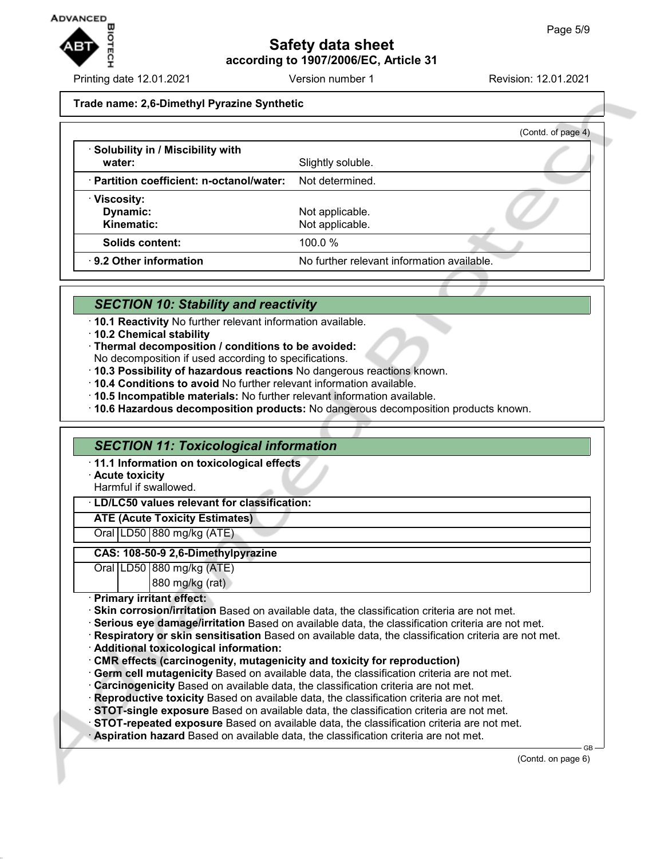

Printing date 12.01.2021 Version number 1 Revision: 12.01.2021

#### **Trade name: 2,6-Dimethyl Pyrazine Synthetic**

|                                           |                                            | (Contd. of page 4) |
|-------------------------------------------|--------------------------------------------|--------------------|
| · Solubility in / Miscibility with        |                                            |                    |
| water:                                    | Slightly soluble.                          |                    |
| · Partition coefficient: n-octanol/water: | Not determined.                            |                    |
| · Viscosity:                              |                                            |                    |
| Dynamic:                                  | Not applicable.                            |                    |
| <b>Kinematic:</b>                         | Not applicable.                            |                    |
| Solids content:                           | 100.0%                                     |                    |
| 9.2 Other information                     | No further relevant information available. |                    |

## *SECTION 10: Stability and reactivity*

- · **10.1 Reactivity** No further relevant information available.
- · **10.2 Chemical stability**
- · **Thermal decomposition / conditions to be avoided:**
- No decomposition if used according to specifications.
- · **10.3 Possibility of hazardous reactions** No dangerous reactions known.
- · **10.4 Conditions to avoid** No further relevant information available.
- · **10.5 Incompatible materials:** No further relevant information available.
- · **10.6 Hazardous decomposition products:** No dangerous decomposition products known.

### *SECTION 11: Toxicological information*

- · **11.1 Information on toxicological effects**
- · **Acute toxicity**

Harmful if swallowed.

#### · **LD/LC50 values relevant for classification:**

## **ATE (Acute Toxicity Estimates)**

Oral LD50 880 mg/kg (ATE)

#### **CAS: 108-50-9 2,6-Dimethylpyrazine**

Oral LD50 880 mg/kg (ATE) 880 mg/kg (rat)

· **Primary irritant effect:**

- · **Skin corrosion/irritation** Based on available data, the classification criteria are not met.
- · **Serious eye damage/irritation** Based on available data, the classification criteria are not met.
- · **Respiratory or skin sensitisation** Based on available data, the classification criteria are not met.
- · **Additional toxicological information:**
- · **CMR effects (carcinogenity, mutagenicity and toxicity for reproduction)**
- · **Germ cell mutagenicity** Based on available data, the classification criteria are not met.
- · **Carcinogenicity** Based on available data, the classification criteria are not met.
- · **Reproductive toxicity** Based on available data, the classification criteria are not met.
- · **STOT-single exposure** Based on available data, the classification criteria are not met.
- · **STOT-repeated exposure** Based on available data, the classification criteria are not met.
- · **Aspiration hazard** Based on available data, the classification criteria are not met.

(Contd. on page 6)

GB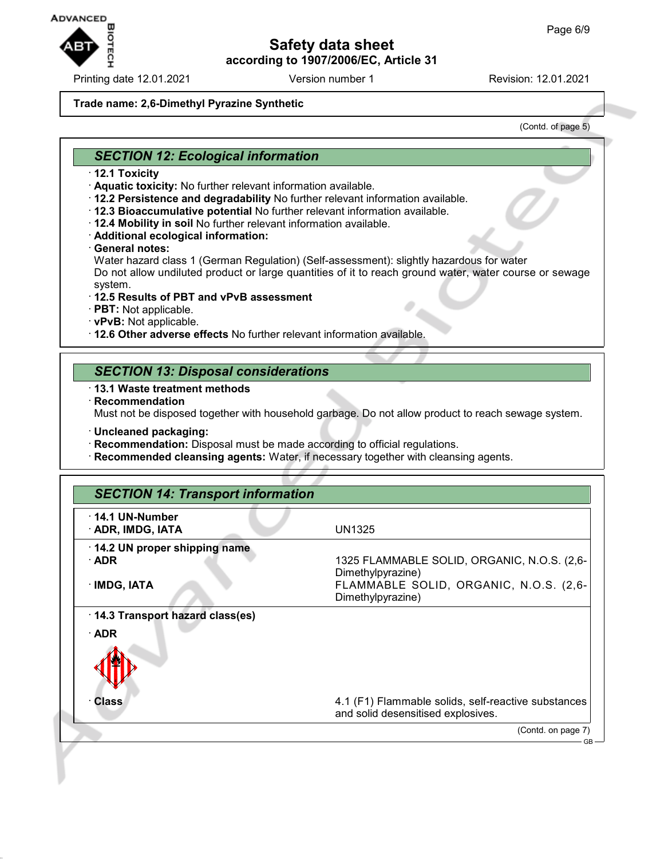

Printing date 12.01.2021 **Version number 1** Revision: 12.01.2021

#### **Trade name: 2,6-Dimethyl Pyrazine Synthetic**

(Contd. of page 5)

## *SECTION 12: Ecological information*

- · **12.1 Toxicity**
- · **Aquatic toxicity:** No further relevant information available.
- · **12.2 Persistence and degradability** No further relevant information available.
- · **12.3 Bioaccumulative potential** No further relevant information available.
- · **12.4 Mobility in soil** No further relevant information available.
- · **Additional ecological information:**
- · **General notes:**

Water hazard class 1 (German Regulation) (Self-assessment): slightly hazardous for water Do not allow undiluted product or large quantities of it to reach ground water, water course or sewage system.

#### · **12.5 Results of PBT and vPvB assessment**

- · **PBT:** Not applicable.
- · **vPvB:** Not applicable.
- · **12.6 Other adverse effects** No further relevant information available.

## *SECTION 13: Disposal considerations*

- · **13.1 Waste treatment methods**
- · **Recommendation**

Must not be disposed together with household garbage. Do not allow product to reach sewage system.

- · **Uncleaned packaging:**
- · **Recommendation:** Disposal must be made according to official regulations.
- · **Recommended cleansing agents:** Water, if necessary together with cleansing agents.

| <b>SECTION 14: Transport information</b>                    |                                                                                                                                 |  |
|-------------------------------------------------------------|---------------------------------------------------------------------------------------------------------------------------------|--|
| $\cdot$ 14.1 UN-Number<br>· ADR, IMDG, IATA                 | <b>UN1325</b>                                                                                                                   |  |
| 14.2 UN proper shipping name<br>$\cdot$ ADR<br>· IMDG, IATA | 1325 FLAMMABLE SOLID, ORGANIC, N.O.S. (2,6-<br>Dimethylpyrazine)<br>FLAMMABLE SOLID, ORGANIC, N.O.S. (2,6-<br>Dimethylpyrazine) |  |
| 14.3 Transport hazard class(es)<br>$\cdot$ ADR<br>Class     | 4.1 (F1) Flammable solids, self-reactive substances<br>and solid desensitised explosives.                                       |  |
|                                                             | (Contd. on page 7)                                                                                                              |  |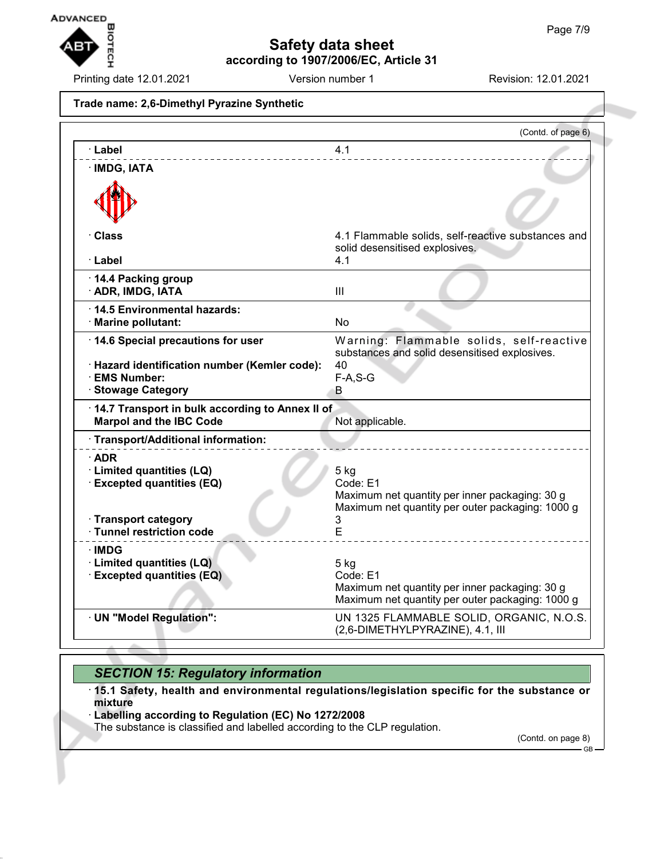

Printing date 12.01.2021 Version number 1 Revision: 12.01.2021

**Trade name: 2,6-Dimethyl Pyrazine Synthetic**

|                                                                                                                                  | (Contd. of page 6)                                                                                                                 |
|----------------------------------------------------------------------------------------------------------------------------------|------------------------------------------------------------------------------------------------------------------------------------|
| · Label                                                                                                                          | 4.1                                                                                                                                |
| · IMDG, IATA                                                                                                                     |                                                                                                                                    |
| · Class<br>· Label                                                                                                               | 4.1 Flammable solids, self-reactive substances and<br>solid desensitised explosives.<br>4.1                                        |
| 14.4 Packing group<br>· ADR, IMDG, IATA                                                                                          | Ш                                                                                                                                  |
| 14.5 Environmental hazards:<br>· Marine pollutant:                                                                               | No                                                                                                                                 |
| 14.6 Special precautions for user<br>· Hazard identification number (Kemler code):<br>· EMS Number:<br>· Stowage Category        | Warning: Flammable solids, self-reactive<br>substances and solid desensitised explosives.<br>40<br>$F-A, S-G$<br>В.                |
| 14.7 Transport in bulk according to Annex II of<br><b>Marpol and the IBC Code</b>                                                | Not applicable.                                                                                                                    |
| · Transport/Additional information:                                                                                              |                                                                                                                                    |
| $\cdot$ ADR<br>· Limited quantities (LQ)<br><b>Excepted quantities (EQ)</b><br>· Transport category<br>· Tunnel restriction code | $5$ kg<br>Code: E1<br>Maximum net quantity per inner packaging: 30 g<br>Maximum net quantity per outer packaging: 1000 g<br>3<br>E |
| ∙IMDG<br>· Limited quantities (LQ)<br><b>Excepted quantities (EQ)</b>                                                            | $5$ kg<br>Code: E1<br>Maximum net quantity per inner packaging: 30 g<br>Maximum net quantity per outer packaging: 1000 g           |
| · UN "Model Regulation":                                                                                                         | UN 1325 FLAMMABLE SOLID, ORGANIC, N.O.S.<br>(2,6-DIMETHYLPYRAZINE), 4.1, III                                                       |

# *SECTION 15: Regulatory information*

· **15.1 Safety, health and environmental regulations/legislation specific for the substance or mixture**

· **Labelling according to Regulation (EC) No 1272/2008**

The substance is classified and labelled according to the CLP regulation.

(Contd. on page 8) GB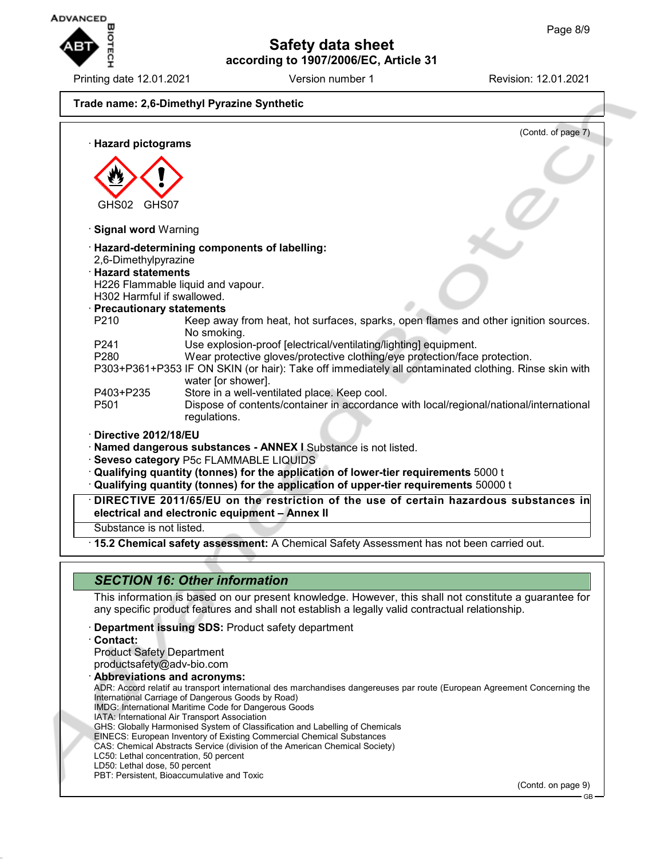

Printing date 12.01.2021 Version number 1 Revision: 12.01.2021

# **Trade name: 2,6-Dimethyl Pyrazine Synthetic**



## *SECTION 16: Other information*

This information is based on our present knowledge. However, this shall not constitute a guarantee for any specific product features and shall not establish a legally valid contractual relationship.

- · **Department issuing SDS:** Product safety department
- · **Contact:**

Product Safety Department productsafety@adv-bio.com · **Abbreviations and acronyms:** ADR: Accord relatif au transport international des marchandises dangereuses par route (European Agreement Concerning the International Carriage of Dangerous Goods by Road) IMDG: International Maritime Code for Dangerous Goods IATA: International Air Transport Association GHS: Globally Harmonised System of Classification and Labelling of Chemicals EINECS: European Inventory of Existing Commercial Chemical Substances CAS: Chemical Abstracts Service (division of the American Chemical Society) LC50: Lethal concentration, 50 percent LD50: Lethal dose, 50 percent PBT: Persistent, Bioaccumulative and Toxic (Contd. on page 9)

GB